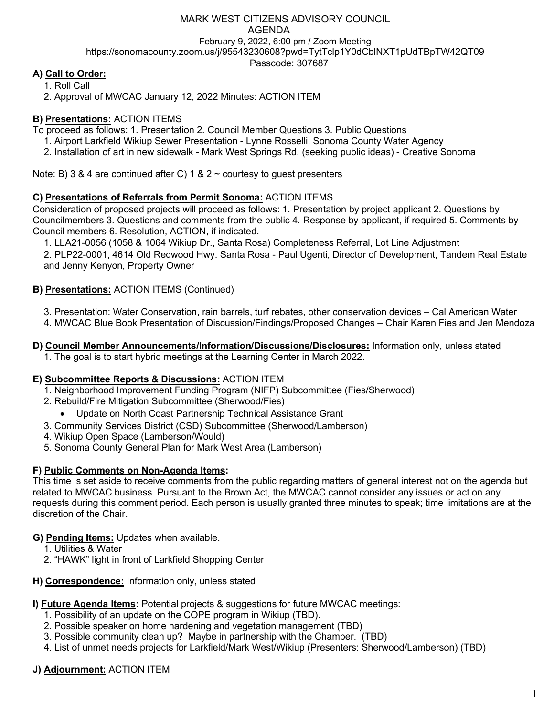## MARK WEST CITIZENS ADVISORY COUNCIL AGENDA February 9, 2022, 6:00 pm / Zoom Meeting https://sonomacounty.zoom.us/j/95543230608?pwd=TytTclp1Y0dCblNXT1pUdTBpTW42QT09 Passcode: 307687

# **A) Call to Order:**

1. Roll Call

2. Approval of MWCAC January 12, 2022 Minutes: ACTION ITEM

## **B) Presentations:** ACTION ITEMS

To proceed as follows: 1. Presentation 2. Council Member Questions 3. Public Questions

1. Airport Larkfield Wikiup Sewer Presentation - Lynne Rosselli, Sonoma County Water Agency

2. Installation of art in new sidewalk - Mark West Springs Rd. (seeking public ideas) - Creative Sonoma

Note: B) 3 & 4 are continued after C) 1 & 2  $\sim$  courtesy to guest presenters

#### **C) Presentations of Referrals from Permit Sonoma:** ACTION ITEMS

Consideration of proposed projects will proceed as follows: 1. Presentation by project applicant 2. Questions by Councilmembers 3. Questions and comments from the public 4. Response by applicant, if required 5. Comments by Council members 6. Resolution, ACTION, if indicated.

1. LLA21-0056 (1058 & 1064 Wikiup Dr., Santa Rosa) Completeness Referral, Lot Line Adjustment

2. PLP22-0001, 4614 Old Redwood Hwy. Santa Rosa - Paul Ugenti, Director of Development, Tandem Real Estate and Jenny Kenyon, Property Owner

### **B) Presentations:** ACTION ITEMS (Continued)

3. Presentation: Water Conservation, rain barrels, turf rebates, other conservation devices – Cal American Water

4. MWCAC Blue Book Presentation of Discussion/Findings/Proposed Changes – Chair Karen Fies and Jen Mendoza

**D) Council Member Announcements/Information/Discussions/Disclosures:** Information only, unless stated 1. The goal is to start hybrid meetings at the Learning Center in March 2022.

#### **E) Subcommittee Reports & Discussions:** ACTION ITEM

- 1. Neighborhood Improvement Funding Program (NIFP) Subcommittee (Fies/Sherwood)
- 2. Rebuild/Fire Mitigation Subcommittee (Sherwood/Fies)
- Update on North Coast Partnership Technical Assistance Grant
- 3. Community Services District (CSD) Subcommittee (Sherwood/Lamberson)
- 4. Wikiup Open Space (Lamberson/Would)
- 5. Sonoma County General Plan for Mark West Area (Lamberson)

#### **F) Public Comments on Non-Agenda Items:**

This time is set aside to receive comments from the public regarding matters of general interest not on the agenda but related to MWCAC business. Pursuant to the Brown Act, the MWCAC cannot consider any issues or act on any requests during this comment period. Each person is usually granted three minutes to speak; time limitations are at the discretion of the Chair.

#### **G) Pending Items:** Updates when available.

- 1. Utilities & Water
- 2. "HAWK" light in front of Larkfield Shopping Center
- **H) Correspondence:** Information only, unless stated

#### **I) Future Agenda Items:** Potential projects & suggestions for future MWCAC meetings:

- 1. Possibility of an update on the COPE program in Wikiup (TBD).
- 2. Possible speaker on home hardening and vegetation management (TBD)
- 3. Possible community clean up? Maybe in partnership with the Chamber. (TBD)
- 4. List of unmet needs projects for Larkfield/Mark West/Wikiup (Presenters: Sherwood/Lamberson) (TBD)

## **J) Adjournment:** ACTION ITEM